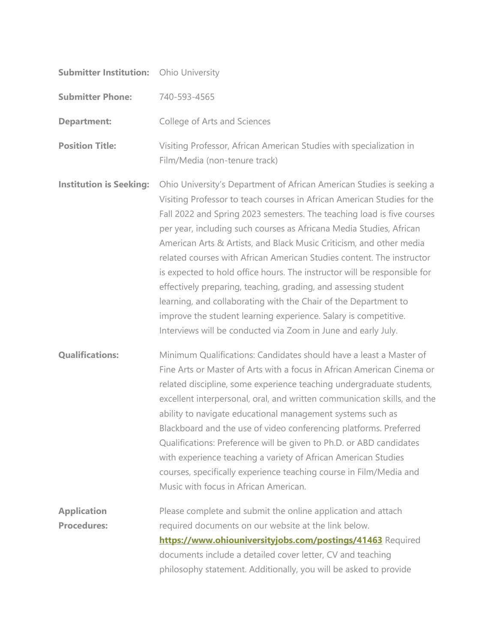| <b>Submitter Institution:</b>            | <b>Ohio University</b>                                                                                                                                                                                                                                                                                                                                                                                                                                                                                                                                                                                                                                                                                                                                                                                  |
|------------------------------------------|---------------------------------------------------------------------------------------------------------------------------------------------------------------------------------------------------------------------------------------------------------------------------------------------------------------------------------------------------------------------------------------------------------------------------------------------------------------------------------------------------------------------------------------------------------------------------------------------------------------------------------------------------------------------------------------------------------------------------------------------------------------------------------------------------------|
| <b>Submitter Phone:</b>                  | 740-593-4565                                                                                                                                                                                                                                                                                                                                                                                                                                                                                                                                                                                                                                                                                                                                                                                            |
| <b>Department:</b>                       | College of Arts and Sciences                                                                                                                                                                                                                                                                                                                                                                                                                                                                                                                                                                                                                                                                                                                                                                            |
| <b>Position Title:</b>                   | Visiting Professor, African American Studies with specialization in<br>Film/Media (non-tenure track)                                                                                                                                                                                                                                                                                                                                                                                                                                                                                                                                                                                                                                                                                                    |
| <b>Institution is Seeking:</b>           | Ohio University's Department of African American Studies is seeking a<br>Visiting Professor to teach courses in African American Studies for the<br>Fall 2022 and Spring 2023 semesters. The teaching load is five courses<br>per year, including such courses as Africana Media Studies, African<br>American Arts & Artists, and Black Music Criticism, and other media<br>related courses with African American Studies content. The instructor<br>is expected to hold office hours. The instructor will be responsible for<br>effectively preparing, teaching, grading, and assessing student<br>learning, and collaborating with the Chair of the Department to<br>improve the student learning experience. Salary is competitive.<br>Interviews will be conducted via Zoom in June and early July. |
| <b>Qualifications:</b>                   | Minimum Qualifications: Candidates should have a least a Master of<br>Fine Arts or Master of Arts with a focus in African American Cinema or<br>related discipline, some experience teaching undergraduate students,<br>excellent interpersonal, oral, and written communication skills, and the<br>ability to navigate educational management systems such as<br>Blackboard and the use of video conferencing platforms. Preferred<br>Qualifications: Preference will be given to Ph.D. or ABD candidates<br>with experience teaching a variety of African American Studies<br>courses, specifically experience teaching course in Film/Media and<br>Music with focus in African American.                                                                                                             |
| <b>Application</b><br><b>Procedures:</b> | Please complete and submit the online application and attach<br>required documents on our website at the link below.<br>https://www.ohiouniversityjobs.com/postings/41463 Required<br>documents include a detailed cover letter, CV and teaching<br>philosophy statement. Additionally, you will be asked to provide                                                                                                                                                                                                                                                                                                                                                                                                                                                                                    |